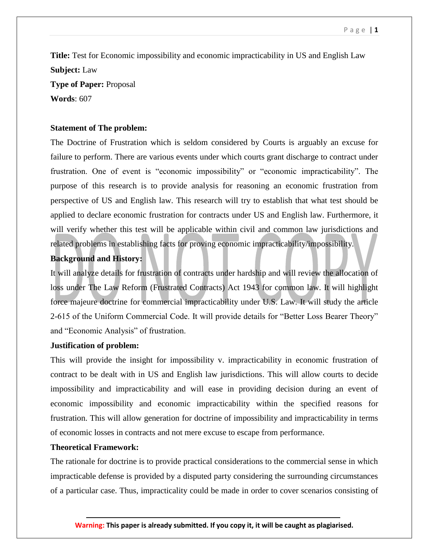**Title:** Test for Economic impossibility and economic impracticability in US and English Law **Subject:** Law **Type of Paper:** Proposal **Words**: 607

### **Statement of The problem:**

The Doctrine of Frustration which is seldom considered by Courts is arguably an excuse for failure to perform. There are various events under which courts grant discharge to contract under frustration. One of event is "economic impossibility" or "economic impracticability". The purpose of this research is to provide analysis for reasoning an economic frustration from perspective of US and English law. This research will try to establish that what test should be applied to declare economic frustration for contracts under US and English law. Furthermore, it will verify whether this test will be applicable within civil and common law jurisdictions and related problems in establishing facts for proving economic impracticability/impossibility.

# **Background and History:**

It will analyze details for frustration of contracts under hardship and will review the allocation of loss under The Law Reform (Frustrated Contracts) Act 1943 for common law. It will highlight force majeure doctrine for commercial impracticability under U.S. Law. It will study the article 2-615 of the Uniform Commercial Code. It will provide details for "Better Loss Bearer Theory" and "Economic Analysis" of frustration.

### **Justification of problem:**

This will provide the insight for impossibility v. impracticability in economic frustration of contract to be dealt with in US and English law jurisdictions. This will allow courts to decide impossibility and impracticability and will ease in providing decision during an event of economic impossibility and economic impracticability within the specified reasons for frustration. This will allow generation for doctrine of impossibility and impracticability in terms of economic losses in contracts and not mere excuse to escape from performance.

# **Theoretical Framework:**

The rationale for doctrine is to provide practical considerations to the commercial sense in which impracticable defense is provided by a disputed party considering the surrounding circumstances of a particular case. Thus, impracticality could be made in order to cover scenarios consisting of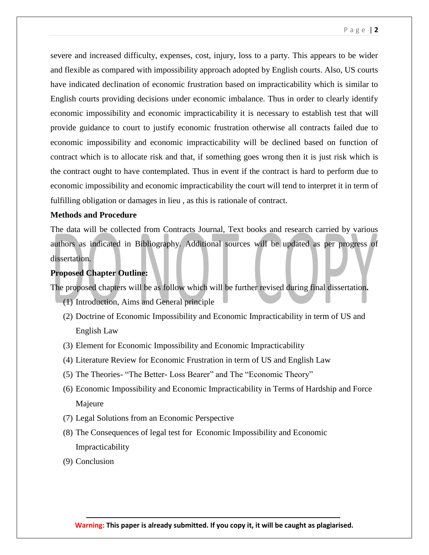severe and increased difficulty, expenses, cost, injury, loss to a party. This appears to be wider and flexible as compared with impossibility approach adopted by English courts. Also, US courts have indicated declination of economic frustration based on impracticability which is similar to English courts providing decisions under economic imbalance. Thus in order to clearly identify economic impossibility and economic impracticability it is necessary to establish test that will provide guidance to court to justify economic frustration otherwise all contracts failed due to economic impossibility and economic impracticability will be declined based on function of contract which is to allocate risk and that, if something goes wrong then it is just risk which is the contract ought to have contemplated. Thus in event if the contract is hard to perform due to economic impossibility and economic impracticability the court will tend to interpret it in term of fulfilling obligation or damages in lieu , as this is rationale of contract.

# **Methods and Procedure**

The data will be collected from Contracts Journal, Text books and research carried by various authors as indicated in Bibliography. Additional sources will be updated as per progress of dissertation.

# **Proposed Chapter Outline:**

The proposed chapters will be as follow which will be further revised during final dissertation**.** 

- (1) Introduction, Aims and General principle
- (2) Doctrine of Economic Impossibility and Economic Impracticability in term of US and English Law
- (3) Element for Economic Impossibility and Economic Impracticability
- (4) Literature Review for Economic Frustration in term of US and English Law
- (5) The Theories- "The Better- Loss Bearer" and The "Economic Theory"
- (6) Economic Impossibility and Economic Impracticability in Terms of Hardship and Force Majeure
- (7) Legal Solutions from an Economic Perspective
- (8) The Consequences of legal test for Economic Impossibility and Economic Impracticability
- (9) Conclusion

**Warning: This paper is already submitted. If you copy it, it will be caught as plagiarised.**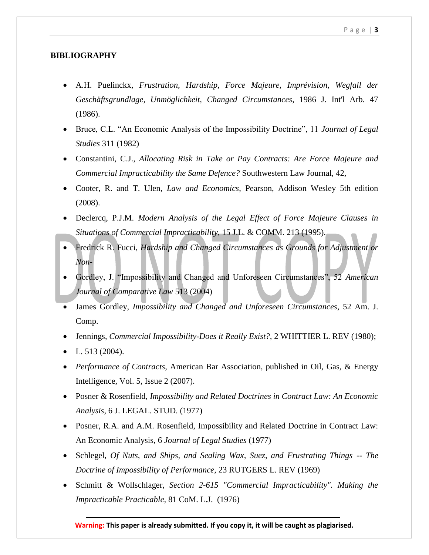# **BIBLIOGRAPHY**

- A.H. Puelinckx, *Frustration, Hardship, Force Majeure, Imprévision, Wegfall der Geschäftsgrundlage, Unmöglichkeit, Changed Circumstances*, 1986 J. Int'l Arb. 47 (1986).
- Bruce, C.L. "An Economic Analysis of the Impossibility Doctrine", 11 *Journal of Legal Studies* 311 (1982)
- Constantini, C.J., *Allocating Risk in Take or Pay Contracts: Are Force Majeure and Commercial Impracticability the Same Defence?* Southwestern Law Journal, 42,
- Cooter, R. and T. Ulen, *Law and Economics*, Pearson, Addison Wesley 5th edition (2008).
- Declercq, P.J.M. *Modern Analysis of the Legal Effect of Force Majeure Clauses in Situations of Commercial Impracticability*, 15 J.L. & COMM. 213 (1995).
- Fredrick R. Fucci, *Hardship and Changed Circumstances as Grounds for Adjustment or Non-*
- Gordley, J. "Impossibility and Changed and Unforeseen Circumstances", 52 *American Journal of Comparative Law* 513 (2004)
- James Gordley, *Impossibility and Changed and Unforeseen Circumstances*, 52 Am. J. Comp.
- Jennings, *Commercial Impossibility-Does it Really Exist?,* 2 WHITTIER L. REV (1980);
- L.  $513(2004)$ .
- *Performance of Contracts*, American Bar Association, published in Oil, Gas, & Energy Intelligence, Vol. 5, Issue 2 (2007).
- Posner & Rosenfield, *Impossibility and Related Doctrines in Contract Law: An Economic Analysis*, 6 J. LEGAL. STUD. (1977)
- Posner, R.A. and A.M. Rosenfield, Impossibility and Related Doctrine in Contract Law: An Economic Analysis, 6 *Journal of Legal Studies* (1977)
- Schlegel, *Of Nuts, and Ships, and Sealing Wax, Suez, and Frustrating Things -- The Doctrine of Impossibility of Performance*, 23 RUTGERS L. REV (1969)
- Schmitt & Wollschlager, *Section 2-615 "Commercial Impracticability". Making the Impracticable Practicable,* 81 CoM. L.J. (1976)

**Warning: This paper is already submitted. If you copy it, it will be caught as plagiarised.**